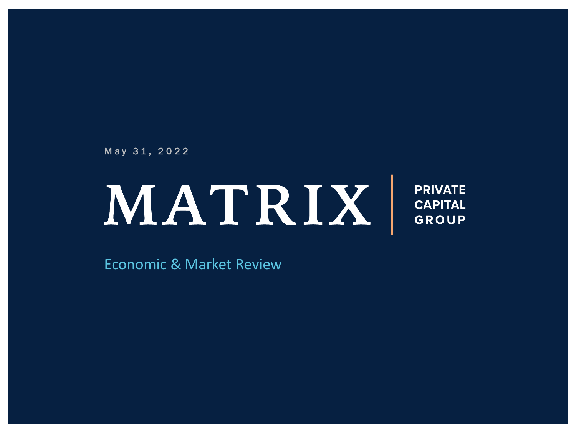May 31, 2022

# MATRIX

**PRIVATE CAPITAL GROUP** 

**Economic & Market Review**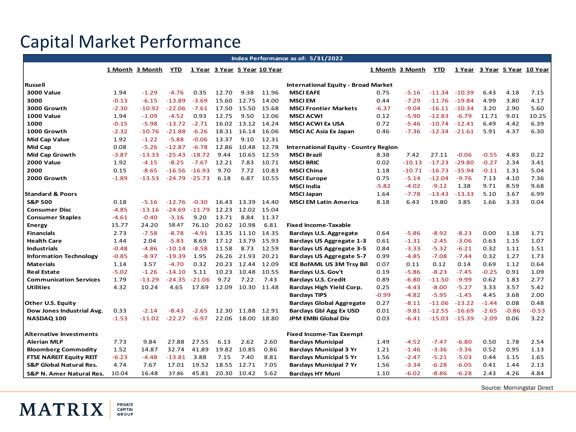# Capital Market Performance

**MATRIX** 

PRIVATE<br>CAPITAL<br>GROUP

|                                     |         |                 |          |          |       |                                            |                              | Index Performance as of: 5/31/2022           |         |                 |          |          |         |         |                              |
|-------------------------------------|---------|-----------------|----------|----------|-------|--------------------------------------------|------------------------------|----------------------------------------------|---------|-----------------|----------|----------|---------|---------|------------------------------|
|                                     |         | 1 Month 3 Month | YTD      |          |       |                                            | 1 Year 3 Year 5 Year 10 Year |                                              |         | 1 Month 3 Month | YTD      |          |         |         | 1 Year 3 Year 5 Year 10 Year |
|                                     |         |                 |          |          |       |                                            |                              |                                              |         |                 |          |          |         |         |                              |
| Russell                             |         |                 |          |          |       | <b>International Equity - Broad Market</b> |                              |                                              |         |                 |          |          |         |         |                              |
| <b>3000 Value</b>                   | 1.94    | $-1.29$         | $-4.76$  | 0.35     | 12.70 | 9.38                                       | 11.96                        | <b>MSCI EAFE</b>                             | 0.75    | $-5.16$         | $-11.34$ | $-10.39$ | 6.43    | 4.18    | 7.15                         |
| 3000                                | $-0.13$ | $-6.15$         | $-13.89$ | $-3.69$  | 15.60 | 12.75                                      | 14.00                        | <b>MSCI EM</b>                               | 0.44    | $-7.29$         | $-11.76$ | $-19.84$ | 4.99    | 3.80    | 4.17                         |
| 3000 Growth                         | $-2.30$ | $-10.92$        | $-22.06$ | $-7.61$  | 17.50 | 15.50                                      | 15.68                        | <b>MSCI Frontier Markets</b>                 | -6.37   | -9.04           | -16.11   | $-10.34$ | 3.20    | 2.90    | 5.60                         |
| <b>1000 Value</b>                   | 1.94    | $-1.09$         | $-4.52$  | 0.93     | 12.75 | 9.50                                       | 12.06                        | <b>MSCI ACWI</b>                             | 0.12    | $-5.90$         | $-12.83$ | $-6.79$  | 11.71   | 9.01    | 10.25                        |
| 1000                                | $-0.15$ | $-5.98$         | $-13.72$ | $-2.71$  | 16.02 | 13.12                                      | 14.24                        | <b>MSCI ACWI Ex USA</b>                      | 0.72    | $-5.46$         | $-10.74$ | $-12.41$ | 6.49    | 4.42    | 6.39                         |
| 1000 Growth                         | $-2.32$ | $-10.76$        | $-21.88$ | $-6.26$  | 18.31 | 16.14                                      | 16.06                        | <b>MSCI AC Asia Ex Japan</b>                 | 0.46    | $-7.36$         | $-12.34$ | $-21.61$ | 5.91    | 4.37    | 6.30                         |
| Mid Cap Value                       | 1.92    | $-1.22$         | $-5.88$  | $-0.06$  | 13.37 | 9.10                                       | 12.31                        |                                              |         |                 |          |          |         |         |                              |
| Mid Cap                             | 0.08    | $-5.26$         | $-12.87$ | $-6.78$  | 12.86 | 10.48                                      | 12.78                        | <b>International Equity - Country Region</b> |         |                 |          |          |         |         |                              |
| Mid Cap Growth                      | $-3.87$ | $-13.33$        | $-25.43$ | $-18.72$ | 9.44  | 10.65                                      | 12.59                        | <b>MSCI Brazil</b>                           | 8.38    | 7.42            | 27.11    | $-0.06$  | $-0.55$ | 4.83    | 0.22                         |
| <b>2000 Value</b>                   | 1.92    | $-4.15$         | $-8.25$  | $-7.67$  | 12.21 | 7.83                                       | 10.71                        | <b>MSCI BRIC</b>                             | 0.02    | $-10.13$        | $-17.23$ | $-29.80$ | $-0.27$ | 2.34    | 3.41                         |
| 2000                                | 0.15    | $-8.65$         | $-16.56$ | $-16.93$ | 9.70  | 7.72                                       | 10.83                        | <b>MSCI China</b>                            | 1.18    | $-10.71$        | $-16.73$ | $-35.94$ | $-0.11$ | 1.31    | 5.04                         |
| 2000 Growth                         | $-1.89$ | $-13.53$        | $-24.79$ | $-25.73$ | 6.18  | 6.87                                       | 10.55                        | <b>MSCI Europe</b>                           | 0.75    | $-5.14$         | $-12.04$ | $-9.76$  | 7.13    | 4.10    | 7.36                         |
|                                     |         |                 |          |          |       |                                            |                              | <b>MSCI India</b>                            | $-5.82$ | -4.02           | $-9.12$  | 1.38     | 9.71    | 8.59    | 9.68                         |
| <b>Standard &amp; Poors</b>         |         |                 |          |          |       |                                            |                              | <b>MSCI Japan</b>                            | 1.64    | $-7.78$         | $-13.43$ | $-13.33$ | 5.10    | 3.67    | 6.99                         |
| <b>S&amp;P 500</b>                  | 0.18    | $-5.16$         | $-12.76$ | $-0.30$  | 16.43 | 13.39                                      | 14.40                        | <b>MSCI EM Latin America</b>                 | 8.18    | 6.43            | 19.80    | 3.85     | 1.66    | 3.33    | 0.04                         |
| <b>Consumer Disc</b>                | $-4.85$ | $-13.16$        | $-24.69$ | $-11.79$ | 12.23 | 12.02                                      | 15.04                        |                                              |         |                 |          |          |         |         |                              |
| <b>Consumer Staples</b>             | $-4.61$ | $-0.40$         | $-3.16$  | 9.20     | 13.71 | 8.84                                       | 11.37                        |                                              |         |                 |          |          |         |         |                              |
| <b>Energy</b>                       | 15.77   | 24.20           | 58.47    | 76.10    |       | 20.62 10.98                                | 6.81                         | <b>Fixed Income-Taxable</b>                  |         |                 |          |          |         |         |                              |
| <b>Financials</b>                   | 2.73    | $-7.58$         | $-8.78$  | $-4.91$  | 13.35 | 11.10                                      | 14.35                        | Barclays U.S. Aggregate                      | 0.64    | $-5.86$         | $-8.92$  | $-8.23$  | 0.00    | 1.18    | 1.71                         |
| <b>Health Care</b>                  | 1.44    | 2.04            | $-5.83$  | 8.69     | 17.12 | 13.79                                      | 15.93                        | <b>Barclays US Aggregate 1-3</b>             | 0.61    | $-1.31$         | $-2.45$  | $-3.06$  | 0.63    | 1.15    | 1.07                         |
| <b>Industrials</b>                  | $-0.48$ | $-4.86$         | $-10.14$ | $-8.58$  | 11.58 | 8.73                                       | 12.59                        | <b>Barclays US Aggregate 3-5</b>             | 0.84    | $-3.33$         | $-5.32$  | $-6.21$  | 0.32    | 1.11    | 1.51                         |
| <b>Information Technology</b>       | $-0.85$ | $-8.97$         | $-19.39$ | 1.95     | 26.26 | 21.93                                      | 20.21                        | Barclays US Aggregate 5-7                    | 0.99    | $-4.85$         | $-7.08$  | $-7.44$  | 0.32    | 1.27    | 1.73                         |
| <b>Materials</b>                    | 1.14    | 3.57            | $-4.70$  | 0.32     | 20.23 | 12.44                                      | 12.09                        | ICE BofAML US 3M Trsy Bill                   | 0.07    | 0.11            | 0.12     | 0.14     | 0.69    | 1.12    | 0.64                         |
| <b>Real Estate</b>                  | $-5.02$ | $-1.26$         | $-14.10$ | 5.11     | 10.23 | 10.48                                      | 10.55                        | Barclays U.S. Gov't                          | 0.19    | $-5.86$         | -8.23    | $-7.45$  | $-0.25$ | 0.91    | 1.09                         |
| <b>Communication Services</b>       | 1.79    | $-13.29$        | $-24.35$ | $-21.06$ | 9.72  | 7.22                                       | 7.43                         | <b>Barclays U.S. Credit</b>                  | 0.89    | $-6.80$         | $-11.50$ | $-9.99$  | 0.62    | 1.83    | 2.77                         |
| <b>Utilities</b>                    | 4.32    | 10.24           | 4.65     | 17.69    | 12.09 | 10.30                                      | 11.48                        | Barclays High Yield Corp.                    | 0.25    | $-4.43$         | $-8.00$  | $-5.27$  | 3.33    | 3.57    | 5.42                         |
|                                     |         |                 |          |          |       |                                            |                              | <b>Barclays TIPS</b>                         | $-0.99$ | $-4.82$         | $-5.95$  | $-1.45$  | 4.45    | 3.68    | 2.00                         |
| Other U.S. Equity                   |         |                 |          |          |       |                                            |                              | <b>Barclays Global Aggregate</b>             | 0.27    | -8.11           | $-11.06$ | $-13.22$ | $-1.44$ | 0.08    | 0.48                         |
| Dow Jones Industrial Avg.           | 0.33    | $-2.14$         | $-8.43$  | $-2.65$  | 12.30 | 11.88                                      | 12.91                        | <b>Barclays Gbl Agg Ex USD</b>               | 0.01    | $-9.81$         | $-12.55$ | $-16.69$ | $-2.65$ | $-0.86$ | $-0.53$                      |
| NASDAQ 100                          | $-1.53$ | $-11.02$        | $-22.27$ | $-6.97$  | 22.06 | 18.00                                      | 18.80                        | <b>JPM EMBI Global Div</b>                   | 0.03    | $-6.41$         | $-15.03$ | $-15.39$ | $-2.09$ | 0.06    | 3.22                         |
|                                     |         |                 |          |          |       |                                            |                              |                                              |         |                 |          |          |         |         |                              |
| Alternative Investments             |         |                 |          |          |       |                                            |                              | <b>Fixed Income-Tax Exempt</b>               |         |                 |          |          |         |         |                              |
| <b>Alerian MLP</b>                  | 7.73    | 9.84            | 27.88    | 27.55    | 6.13  | 2.62                                       | 2.60                         | <b>Barclays Municipal</b>                    | 1.49    | $-4.52$         | $-7.47$  | $-6.80$  | 0.50    | 1.78    | 2.54                         |
| <b>Bloomberg Commodity</b>          | 1.52    | 14.87           | 32.74    | 41.89    | 19.82 | 10.85                                      | 0.86                         | <b>Barclays Municipal 3 Yr</b>               | 1.21    | $-1.46$         | $-3.36$  | $-3.36$  | 0.52    | 0.95    | 1.13                         |
| <b>FTSE NAREIT Equity REIT</b>      | $-6.23$ | $-4.48$         | $-13.81$ | 3.88     | 7.15  | 7.40                                       | 8.81                         | <b>Barclays Municipal 5 Yr</b>               | 1.56    | $-2.47$         | $-5.21$  | $-5.03$  | 0.44    | 1.15    | 1.65                         |
| <b>S&amp;P Global Natural Res.</b>  | 4.74    | 7.67            | 17.01    | 19.52    | 18.55 | 12.71                                      | 7.05                         | <b>Barclays Municipal 7 Yr</b>               | 1.56    | $-3.34$         | $-6.28$  | $-6.05$  | 0.41    | 1.44    | 2.13                         |
| <b>S&amp;P N. Amer Natural Res.</b> | 10.04   | 16.48           | 37.86    | 45.81    | 20.30 | 10.42                                      | 5.62                         | <b>Barclays HY Muni</b>                      | 1.10    | $-6.02$         | $-8.86$  | $-6.28$  | 2.43    | 4.26    | 4.84                         |

Source: Morningstar Direct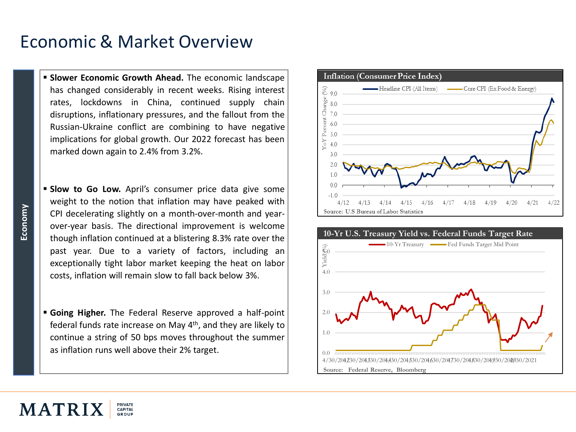#### Economic & Market Overview

- **Slower Economic Growth Ahead.** The economic landscape has changed considerably in recent weeks. Rising interest rates, lockdowns in China, continued supply chain disruptions, inflationary pressures, and the fallout from the Russian-Ukraine conflict are combining to have negative implications for global growth. Our 2022 forecast has been marked down again to 2.4% from 3.2%.
- **Slow to Go Low.** April's consumer price data give some weight to the notion that inflation may have peaked with CPI decelerating slightly on a month-over-month and yearover-year basis. The directional improvement is welcome though inflation continued at a blistering 8.3% rate over the past year. Due to a variety of factors, including an exceptionally tight labor market keeping the heat on labor costs, inflation will remain slow to fall back below 3%.
- **Going Higher.** The Federal Reserve approved a half-point federal funds rate increase on May 4<sup>th</sup>, and they are likely to continue a string of 50 bps moves throughout the summer as inflation runs well above their 2% target. 0.0





**Economy**

PRIVATE MATRI CAPITAL GROUP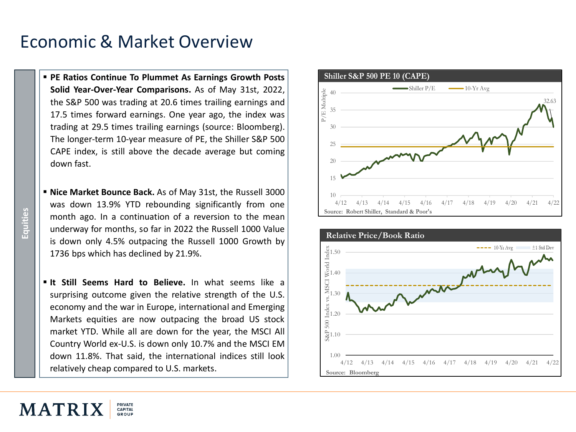### Economic & Market Overview

- **PE Ratios Continue To Plummet As Earnings Growth Posts Solid Year-Over-Year Comparisons.** As of May 31st, 2022, the S&P 500 was trading at 20.6 times trailing earnings and 17.5 times forward earnings. One year ago, the index was trading at 29.5 times trailing earnings (source: Bloomberg). The longer-term 10-year measure of PE, the Shiller S&P 500 CAPE index, is still above the decade average but coming down fast.
- **Nice Market Bounce Back.** As of May 31st, the Russell 3000 was down 13.9% YTD rebounding significantly from one month ago. In a continuation of a reversion to the mean underway for months, so far in 2022 the Russell 1000 Value is down only 4.5% outpacing the Russell 1000 Growth by 1736 bps which has declined by 21.9%.
- **It Still Seems Hard to Believe.** In what seems like a surprising outcome given the relative strength of the U.S. economy and the war in Europe, international and Emerging Markets equities are now outpacing the broad US stock market YTD. While all are down for the year, the MSCI All Country World ex-U.S. is down only 10.7% and the MSCI EM down 11.8%. That said, the international indices still look relatively cheap compared to U.S. markets.





**Equities**

#### PRIVATE MATRI CAPITAL GROUP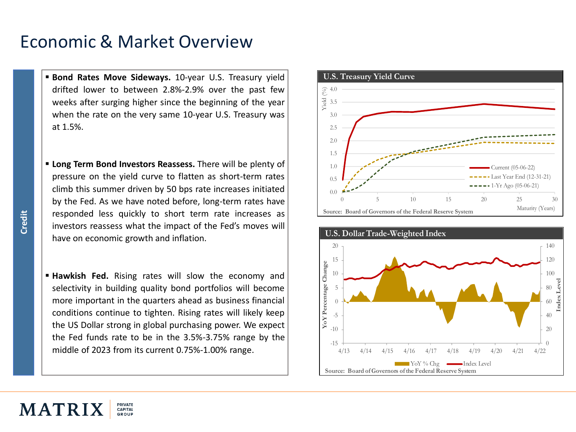#### Economic & Market Overview

- **Bond Rates Move Sideways.** 10-year U.S. Treasury yield drifted lower to between 2.8%-2.9% over the past few weeks after surging higher since the beginning of the year when the rate on the very same 10-year U.S. Treasury was at 1.5%.
- **Long Term Bond Investors Reassess.** There will be plenty of pressure on the yield curve to flatten as short-term rates climb this summer driven by 50 bps rate increases initiated by the Fed. As we have noted before, long-term rates have responded less quickly to short term rate increases as investors reassess what the impact of the Fed's moves will have on economic growth and inflation.
- **Example Hawkish Fed.** Rising rates will slow the economy and selectivity in building quality bond portfolios will become more important in the quarters ahead as business financial conditions continue to tighten. Rising rates will likely keep the US Dollar strong in global purchasing power. We expect the Fed funds rate to be in the 3.5%-3.75% range by the middle of 2023 from its current 0.75%-1.00% range.

PRIVATE

CAPITAL GROUP





MATRI